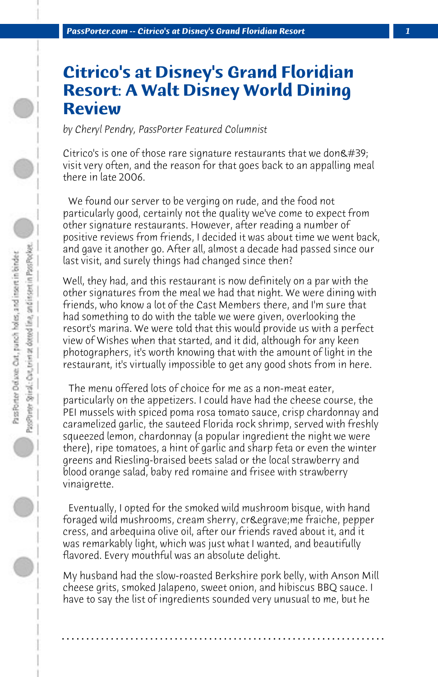## **Citrico's at Disney's Grand Floridian Resort: A Walt Disney World Dining Review**

*by Cheryl Pendry, PassPorter Featured Columnist*

Citrico's is one of those rare signature restaurants that we don $\&\#39;$ visit very often, and the reason for that goes back to an appalling meal there in late 2006.

 We found our server to be verging on rude, and the food not particularly good, certainly not the quality we've come to expect from other signature restaurants. However, after reading a number of positive reviews from friends, I decided it was about time we went back, and gave it another go. After all, almost a decade had passed since our last visit, and surely things had changed since then?

Well, they had, and this restaurant is now definitely on a par with the other signatures from the meal we had that night. We were dining with friends, who know a lot of the Cast Members there, and I'm sure that had something to do with the table we were given, overlooking the resort's marina. We were told that this would provide us with a perfect view of Wishes when that started, and it did, although for any keen photographers, it's worth knowing that with the amount of light in the restaurant, it's virtually impossible to get any good shots from in here.

 The menu offered lots of choice for me as a non-meat eater, particularly on the appetizers. I could have had the cheese course, the PEI mussels with spiced poma rosa tomato sauce, crisp chardonnay and caramelized garlic, the sauteed Florida rock shrimp, served with freshly squeezed lemon, chardonnay (a popular ingredient the night we were there), ripe tomatoes, a hint of garlic and sharp feta or even the winter greens and Riesling-braised beets salad or the local strawberry and blood orange salad, baby red romaine and frisee with strawberry vinaigrette.

 Eventually, I opted for the smoked wild mushroom bisque, with hand foraged wild mushrooms, cream sherry, crème fraiche, pepper cress, and arbequina olive oil, after our friends raved about it, and it was remarkably light, which was just what I wanted, and beautifully flavored. Every mouthful was an absolute delight.

My husband had the slow-roasted Berkshire pork belly, with Anson Mill cheese grits, smoked Jalapeno, sweet onion, and hibiscus BBQ sauce. I have to say the list of ingredients sounded very unusual to me, but he

**. . . . . . . . . . . . . . . . . . . . . . . . . . . . . . . . . . . . . . . . . . . . . . . . . . . . . . . . . . . . . . . . . .**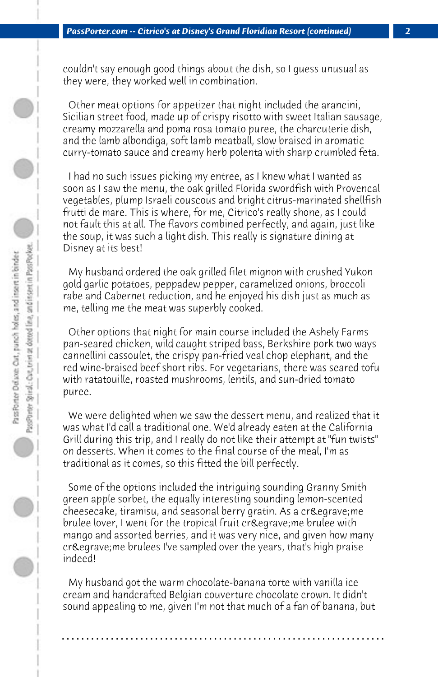couldn't say enough good things about the dish, so I guess unusual as they were, they worked well in combination.

 Other meat options for appetizer that night included the arancini, Sicilian street food, made up of crispy risotto with sweet Italian sausage, creamy mozzarella and poma rosa tomato puree, the charcuterie dish, and the lamb albondiga, soft lamb meatball, slow braised in aromatic curry-tomato sauce and creamy herb polenta with sharp crumbled feta.

 I had no such issues picking my entree, as I knew what I wanted as soon as I saw the menu, the oak grilled Florida swordfish with Provencal vegetables, plump Israeli couscous and bright citrus-marinated shellfish frutti de mare. This is where, for me, Citrico's really shone, as I could not fault this at all. The flavors combined perfectly, and again, just like the soup, it was such a light dish. This really is signature dining at Disney at its best!

 My husband ordered the oak grilled filet mignon with crushed Yukon gold garlic potatoes, peppadew pepper, caramelized onions, broccoli rabe and Cabernet reduction, and he enjoyed his dish just as much as me, telling me the meat was superbly cooked.

 Other options that night for main course included the Ashely Farms pan-seared chicken, wild caught striped bass, Berkshire pork two ways cannellini cassoulet, the crispy pan-fried veal chop elephant, and the red wine-braised beef short ribs. For vegetarians, there was seared tofu with ratatouille, roasted mushrooms, lentils, and sun-dried tomato puree.

 We were delighted when we saw the dessert menu, and realized that it was what I'd call a traditional one. We'd already eaten at the California Grill during this trip, and I really do not like their attempt at "fun twists" on desserts. When it comes to the final course of the meal, I'm as traditional as it comes, so this fitted the bill perfectly.

 Some of the options included the intriguing sounding Granny Smith green apple sorbet, the equally interesting sounding lemon-scented cheesecake, tiramisu, and seasonal berry gratin. As a crè me brulee lover, I went for the tropical fruit crè me brulee with mango and assorted berries, and it was very nice, and given how many crè me brulees I've sampled over the years, that's high praise indeed!

 My husband got the warm chocolate-banana torte with vanilla ice cream and handcrafted Belgian couverture chocolate crown. It didn't sound appealing to me, given I'm not that much of a fan of banana, but

**. . . . . . . . . . . . . . . . . . . . . . . . . . . . . . . . . . . . . . . . . . . . . . . . . . . . . . . . . . . . . . . . . .**